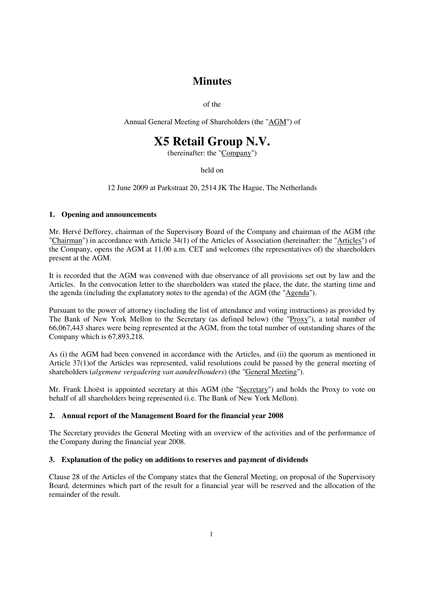# **Minutes**

of the

Annual General Meeting of Shareholders (the "AGM") of

# **X5 Retail Group N.V.**

(hereinafter: the "Company")

held on

12 June 2009 at Parkstraat 20, 2514 JK The Hague, The Netherlands

# **1. Opening and announcements**

Mr. Hervé Defforey, chairman of the Supervisory Board of the Company and chairman of the AGM (the "Chairman") in accordance with Article 34(1) of the Articles of Association (hereinafter: the "Articles") of the Company, opens the AGM at 11.00 a.m. CET and welcomes (the representatives of) the shareholders present at the AGM.

It is recorded that the AGM was convened with due observance of all provisions set out by law and the Articles. In the convocation letter to the shareholders was stated the place, the date, the starting time and the agenda (including the explanatory notes to the agenda) of the AGM (the "Agenda").

Pursuant to the power of attorney (including the list of attendance and voting instructions) as provided by The Bank of New York Mellon to the Secretary (as defined below) (the "Proxy"), a total number of 66,067,443 shares were being represented at the AGM, from the total number of outstanding shares of the Company which is 67,893,218.

As (i) the AGM had been convened in accordance with the Articles, and (ii) the quorum as mentioned in Article 37(1)of the Articles was represented, valid resolutions could be passed by the general meeting of shareholders (*algemene vergadering van aandeelhouders*) (the "General Meeting").

Mr. Frank Lhoëst is appointed secretary at this AGM (the "Secretary") and holds the Proxy to vote on behalf of all shareholders being represented (i.e. The Bank of New York Mellon).

# **2. Annual report of the Management Board for the financial year 2008**

The Secretary provides the General Meeting with an overview of the activities and of the performance of the Company during the financial year 2008.

# **3. Explanation of the policy on additions to reserves and payment of dividends**

Clause 28 of the Articles of the Company states that the General Meeting, on proposal of the Supervisory Board, determines which part of the result for a financial year will be reserved and the allocation of the remainder of the result.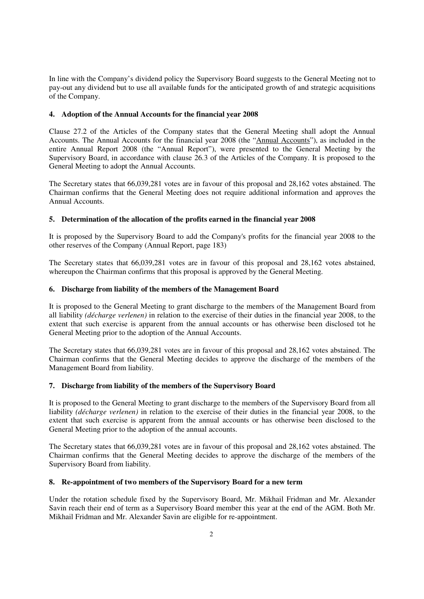In line with the Company's dividend policy the Supervisory Board suggests to the General Meeting not to pay-out any dividend but to use all available funds for the anticipated growth of and strategic acquisitions of the Company.

# **4. Adoption of the Annual Accounts for the financial year 2008**

Clause 27.2 of the Articles of the Company states that the General Meeting shall adopt the Annual Accounts. The Annual Accounts for the financial year 2008 (the "Annual Accounts"), as included in the entire Annual Report 2008 (the "Annual Report"), were presented to the General Meeting by the Supervisory Board, in accordance with clause 26.3 of the Articles of the Company. It is proposed to the General Meeting to adopt the Annual Accounts.

The Secretary states that 66,039,281 votes are in favour of this proposal and 28,162 votes abstained. The Chairman confirms that the General Meeting does not require additional information and approves the Annual Accounts.

# **5. Determination of the allocation of the profits earned in the financial year 2008**

It is proposed by the Supervisory Board to add the Company's profits for the financial year 2008 to the other reserves of the Company (Annual Report, page 183)

The Secretary states that 66,039,281 votes are in favour of this proposal and 28,162 votes abstained, whereupon the Chairman confirms that this proposal is approved by the General Meeting.

# **6. Discharge from liability of the members of the Management Board**

It is proposed to the General Meeting to grant discharge to the members of the Management Board from all liability *(décharge verlenen)* in relation to the exercise of their duties in the financial year 2008, to the extent that such exercise is apparent from the annual accounts or has otherwise been disclosed tot he General Meeting prior to the adoption of the Annual Accounts.

The Secretary states that 66,039,281 votes are in favour of this proposal and 28,162 votes abstained. The Chairman confirms that the General Meeting decides to approve the discharge of the members of the Management Board from liability.

# **7. Discharge from liability of the members of the Supervisory Board**

It is proposed to the General Meeting to grant discharge to the members of the Supervisory Board from all liability *(décharge verlenen)* in relation to the exercise of their duties in the financial year 2008, to the extent that such exercise is apparent from the annual accounts or has otherwise been disclosed to the General Meeting prior to the adoption of the annual accounts.

The Secretary states that 66,039,281 votes are in favour of this proposal and 28,162 votes abstained. The Chairman confirms that the General Meeting decides to approve the discharge of the members of the Supervisory Board from liability.

#### **8. Re-appointment of two members of the Supervisory Board for a new term**

Under the rotation schedule fixed by the Supervisory Board, Mr. Mikhail Fridman and Mr. Alexander Savin reach their end of term as a Supervisory Board member this year at the end of the AGM. Both Mr. Mikhail Fridman and Mr. Alexander Savin are eligible for re-appointment.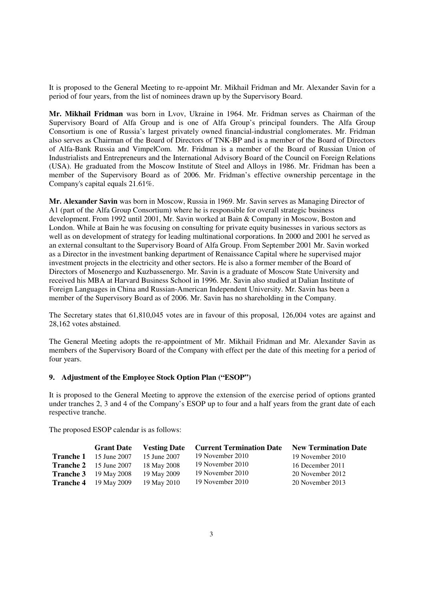It is proposed to the General Meeting to re-appoint Mr. Mikhail Fridman and Mr. Alexander Savin for a period of four years, from the list of nominees drawn up by the Supervisory Board.

**Mr. Mikhail Fridman** was born in Lvov, Ukraine in 1964. Mr. Fridman serves as Chairman of the Supervisory Board of Alfa Group and is one of Alfa Group's principal founders. The Alfa Group Consortium is one of Russia's largest privately owned financial-industrial conglomerates. Mr. Fridman also serves as Chairman of the Board of Directors of TNK-BP and is a member of the Board of Directors of Alfa-Bank Russia and VimpelCom. Mr. Fridman is a member of the Board of Russian Union of Industrialists and Entrepreneurs and the International Advisory Board of the Council on Foreign Relations (USA). He graduated from the Moscow Institute of Steel and Alloys in 1986. Mr. Fridman has been a member of the Supervisory Board as of 2006. Mr. Fridman's effective ownership percentage in the Company's capital equals 21.61%.

**Mr. Alexander Savin** was born in Moscow, Russia in 1969. Mr. Savin serves as Managing Director of A1 (part of the Alfa Group Consortium) where he is responsible for overall strategic business development. From 1992 until 2001, Mr. Savin worked at Bain & Company in Moscow, Boston and London. While at Bain he was focusing on consulting for private equity businesses in various sectors as well as on development of strategy for leading multinational corporations. In 2000 and 2001 he served as an external consultant to the Supervisory Board of Alfa Group. From September 2001 Mr. Savin worked as a Director in the investment banking department of Renaissance Capital where he supervised major investment projects in the electricity and other sectors. He is also a former member of the Board of Directors of Mosenergo and Kuzbassenergo. Mr. Savin is a graduate of Moscow State University and received his MBA at Harvard Business School in 1996. Mr. Savin also studied at Dalian Institute of Foreign Languages in China and Russian-American Independent University. Mr. Savin has been a member of the Supervisory Board as of 2006. Mr. Savin has no shareholding in the Company.

The Secretary states that 61,810,045 votes are in favour of this proposal, 126,004 votes are against and 28,162 votes abstained.

The General Meeting adopts the re-appointment of Mr. Mikhail Fridman and Mr. Alexander Savin as members of the Supervisory Board of the Company with effect per the date of this meeting for a period of four years.

# **9. Adjustment of the Employee Stock Option Plan ("ESOP")**

It is proposed to the General Meeting to approve the extension of the exercise period of options granted under tranches 2, 3 and 4 of the Company's ESOP up to four and a half years from the grant date of each respective tranche.

The proposed ESOP calendar is as follows:

|                  | <b>Grant Date</b>             | <b>Vesting Date</b> | <b>Current Termination Date</b> | <b>New Termination Date</b> |
|------------------|-------------------------------|---------------------|---------------------------------|-----------------------------|
| <b>Tranche 1</b> | 15 June 2007                  | 15 June 2007        | 19 November 2010                | 19 November 2010            |
|                  | <b>Tranche 2</b> 15 June 2007 | 18 May 2008         | 19 November 2010                | 16 December 2011            |
|                  | <b>Tranche 3</b> 19 May 2008  | 19 May 2009         | 19 November 2010                | 20 November 2012            |
|                  | <b>Tranche 4</b> 19 May 2009  | 19 May 2010         | 19 November 2010                | 20 November 2013            |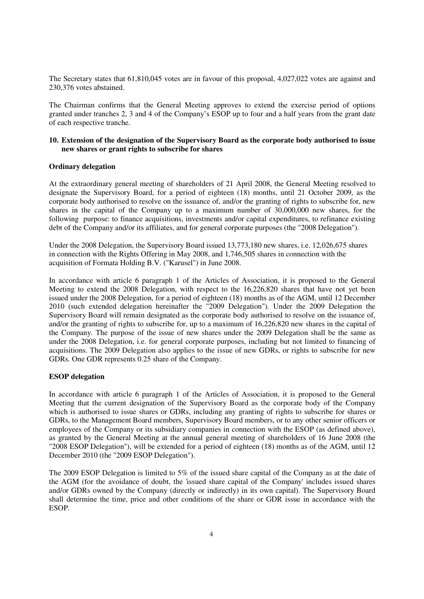The Secretary states that 61,810,045 votes are in favour of this proposal, 4,027,022 votes are against and 230,376 votes abstained.

The Chairman confirms that the General Meeting approves to extend the exercise period of options granted under tranches 2, 3 and 4 of the Company's ESOP up to four and a half years from the grant date of each respective tranche.

#### **10. Extension of the designation of the Supervisory Board as the corporate body authorised to issue new shares or grant rights to subscribe for shares**

#### **Ordinary delegation**

At the extraordinary general meeting of shareholders of 21 April 2008, the General Meeting resolved to designate the Supervisory Board, for a period of eighteen (18) months, until 21 October 2009, as the corporate body authorised to resolve on the issuance of, and/or the granting of rights to subscribe for, new shares in the capital of the Company up to a maximum number of 30,000,000 new shares, for the following purpose: to finance acquisitions, investments and/or capital expenditures, to refinance existing debt of the Company and/or its affiliates, and for general corporate purposes (the "2008 Delegation").

Under the 2008 Delegation, the Supervisory Board issued 13,773,180 new shares, i.e. 12,026,675 shares in connection with the Rights Offering in May 2008, and 1,746,505 shares in connection with the acquisition of Formata Holding B.V. ("Karusel") in June 2008.

In accordance with article 6 paragraph 1 of the Articles of Association, it is proposed to the General Meeting to extend the 2008 Delegation, with respect to the 16,226,820 shares that have not yet been issued under the 2008 Delegation, for a period of eighteen (18) months as of the AGM, until 12 December 2010 (such extended delegation hereinafter the "2009 Delegation"). Under the 2009 Delegation the Supervisory Board will remain designated as the corporate body authorised to resolve on the issuance of, and/or the granting of rights to subscribe for, up to a maximum of 16,226,820 new shares in the capital of the Company. The purpose of the issue of new shares under the 2009 Delegation shall be the same as under the 2008 Delegation, i.e. for general corporate purposes, including but not limited to financing of acquisitions. The 2009 Delegation also applies to the issue of new GDRs, or rights to subscribe for new GDRs. One GDR represents 0.25 share of the Company.

#### **ESOP delegation**

In accordance with article 6 paragraph 1 of the Articles of Association, it is proposed to the General Meeting that the current designation of the Supervisory Board as the corporate body of the Company which is authorised to issue shares or GDRs, including any granting of rights to subscribe for shares or GDRs, to the Management Board members, Supervisory Board members, or to any other senior officers or employees of the Company or its subsidiary companies in connection with the ESOP (as defined above), as granted by the General Meeting at the annual general meeting of shareholders of 16 June 2008 (the "2008 ESOP Delegation"), will be extended for a period of eighteen (18) months as of the AGM, until 12 December 2010 (the "2009 ESOP Delegation").

The 2009 ESOP Delegation is limited to 5% of the issued share capital of the Company as at the date of the AGM (for the avoidance of doubt, the 'issued share capital of the Company' includes issued shares and/or GDRs owned by the Company (directly or indirectly) in its own capital). The Supervisory Board shall determine the time, price and other conditions of the share or GDR issue in accordance with the ESOP.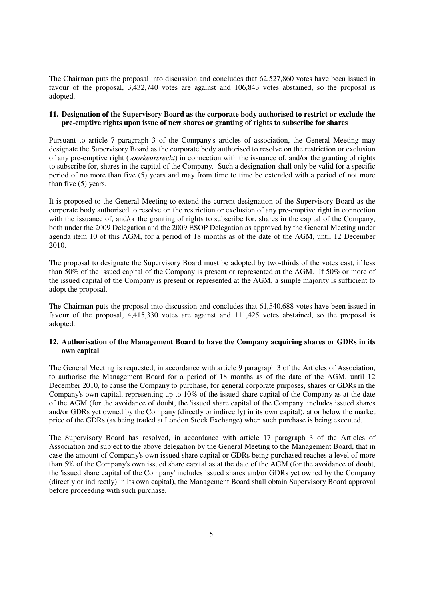The Chairman puts the proposal into discussion and concludes that 62,527,860 votes have been issued in favour of the proposal, 3,432,740 votes are against and 106,843 votes abstained, so the proposal is adopted.

# **11. Designation of the Supervisory Board as the corporate body authorised to restrict or exclude the pre-emptive rights upon issue of new shares or granting of rights to subscribe for shares**

Pursuant to article 7 paragraph 3 of the Company's articles of association, the General Meeting may designate the Supervisory Board as the corporate body authorised to resolve on the restriction or exclusion of any pre-emptive right (*voorkeursrecht*) in connection with the issuance of, and/or the granting of rights to subscribe for, shares in the capital of the Company. Such a designation shall only be valid for a specific period of no more than five (5) years and may from time to time be extended with a period of not more than five (5) years.

It is proposed to the General Meeting to extend the current designation of the Supervisory Board as the corporate body authorised to resolve on the restriction or exclusion of any pre-emptive right in connection with the issuance of, and/or the granting of rights to subscribe for, shares in the capital of the Company, both under the 2009 Delegation and the 2009 ESOP Delegation as approved by the General Meeting under agenda item 10 of this AGM, for a period of 18 months as of the date of the AGM, until 12 December 2010.

The proposal to designate the Supervisory Board must be adopted by two-thirds of the votes cast, if less than 50% of the issued capital of the Company is present or represented at the AGM. If 50% or more of the issued capital of the Company is present or represented at the AGM, a simple majority is sufficient to adopt the proposal.

The Chairman puts the proposal into discussion and concludes that 61,540,688 votes have been issued in favour of the proposal, 4,415,330 votes are against and 111,425 votes abstained, so the proposal is adopted.

# **12. Authorisation of the Management Board to have the Company acquiring shares or GDRs in its own capital**

The General Meeting is requested, in accordance with article 9 paragraph 3 of the Articles of Association, to authorise the Management Board for a period of 18 months as of the date of the AGM, until 12 December 2010, to cause the Company to purchase, for general corporate purposes, shares or GDRs in the Company's own capital, representing up to 10% of the issued share capital of the Company as at the date of the AGM (for the avoidance of doubt, the 'issued share capital of the Company' includes issued shares and/or GDRs yet owned by the Company (directly or indirectly) in its own capital), at or below the market price of the GDRs (as being traded at London Stock Exchange) when such purchase is being executed.

The Supervisory Board has resolved, in accordance with article 17 paragraph 3 of the Articles of Association and subject to the above delegation by the General Meeting to the Management Board, that in case the amount of Company's own issued share capital or GDRs being purchased reaches a level of more than 5% of the Company's own issued share capital as at the date of the AGM (for the avoidance of doubt, the 'issued share capital of the Company' includes issued shares and/or GDRs yet owned by the Company (directly or indirectly) in its own capital), the Management Board shall obtain Supervisory Board approval before proceeding with such purchase.